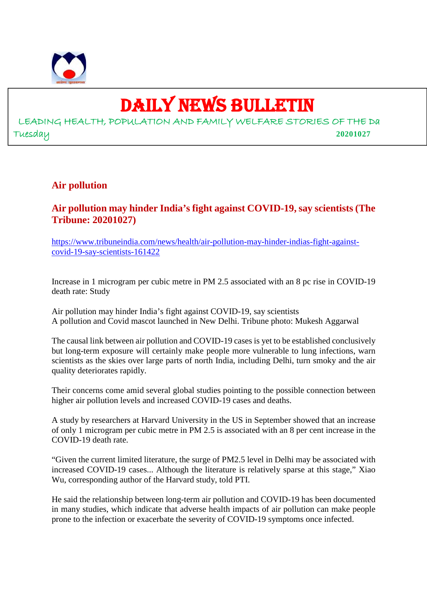

### DAILY NEWS BULLETIN

LEADING HEALTH, POPULATION AND FAMILY WELFARE STORIES OF THE Da Tuesday **20201027**

#### **Air pollution**

#### **Air pollution may hinder India's fight against COVID-19, say scientists (The Tribune: 20201027)**

https://www.tribuneindia.com/news/health/air-pollution-may-hinder-indias-fight-againstcovid-19-say-scientists-161422

Increase in 1 microgram per cubic metre in PM 2.5 associated with an 8 pc rise in COVID-19 death rate: Study

Air pollution may hinder India's fight against COVID-19, say scientists A pollution and Covid mascot launched in New Delhi. Tribune photo: Mukesh Aggarwal

The causal link between air pollution and COVID-19 cases is yet to be established conclusively but long-term exposure will certainly make people more vulnerable to lung infections, warn scientists as the skies over large parts of north India, including Delhi, turn smoky and the air quality deteriorates rapidly.

Their concerns come amid several global studies pointing to the possible connection between higher air pollution levels and increased COVID-19 cases and deaths.

A study by researchers at Harvard University in the US in September showed that an increase of only 1 microgram per cubic metre in PM 2.5 is associated with an 8 per cent increase in the COVID-19 death rate.

"Given the current limited literature, the surge of PM2.5 level in Delhi may be associated with increased COVID-19 cases... Although the literature is relatively sparse at this stage," Xiao Wu, corresponding author of the Harvard study, told PTI.

He said the relationship between long-term air pollution and COVID-19 has been documented in many studies, which indicate that adverse health impacts of air pollution can make people prone to the infection or exacerbate the severity of COVID-19 symptoms once infected.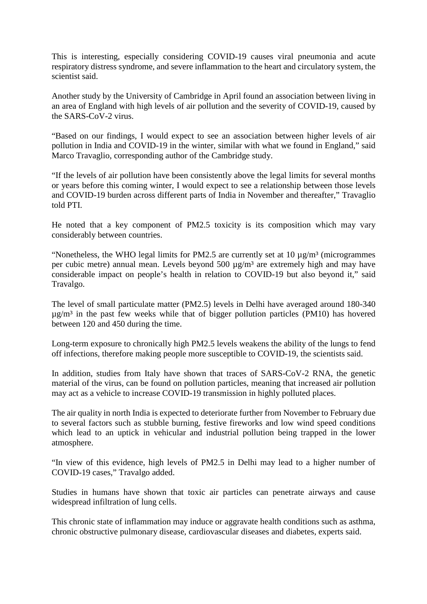This is interesting, especially considering COVID-19 causes viral pneumonia and acute respiratory distress syndrome, and severe inflammation to the heart and circulatory system, the scientist said.

Another study by the University of Cambridge in April found an association between living in an area of England with high levels of air pollution and the severity of COVID-19, caused by the SARS-CoV-2 virus.

"Based on our findings, I would expect to see an association between higher levels of air pollution in India and COVID-19 in the winter, similar with what we found in England," said Marco Travaglio, corresponding author of the Cambridge study.

"If the levels of air pollution have been consistently above the legal limits for several months or years before this coming winter, I would expect to see a relationship between those levels and COVID-19 burden across different parts of India in November and thereafter," Travaglio told PTI.

He noted that a key component of PM2.5 toxicity is its composition which may vary considerably between countries.

"Nonetheless, the WHO legal limits for PM2.5 are currently set at 10  $\mu$ g/m<sup>3</sup> (microgrammes) per cubic metre) annual mean. Levels beyond 500 µg/m³ are extremely high and may have considerable impact on people's health in relation to COVID-19 but also beyond it," said Travalgo.

The level of small particulate matter (PM2.5) levels in Delhi have averaged around 180-340  $\mu$ g/m<sup>3</sup> in the past few weeks while that of bigger pollution particles (PM10) has hovered between 120 and 450 during the time.

Long-term exposure to chronically high PM2.5 levels weakens the ability of the lungs to fend off infections, therefore making people more susceptible to COVID-19, the scientists said.

In addition, studies from Italy have shown that traces of SARS-CoV-2 RNA, the genetic material of the virus, can be found on pollution particles, meaning that increased air pollution may act as a vehicle to increase COVID-19 transmission in highly polluted places.

The air quality in north India is expected to deteriorate further from November to February due to several factors such as stubble burning, festive fireworks and low wind speed conditions which lead to an uptick in vehicular and industrial pollution being trapped in the lower atmosphere.

"In view of this evidence, high levels of PM2.5 in Delhi may lead to a higher number of COVID-19 cases," Travalgo added.

Studies in humans have shown that toxic air particles can penetrate airways and cause widespread infiltration of lung cells.

This chronic state of inflammation may induce or aggravate health conditions such as asthma, chronic obstructive pulmonary disease, cardiovascular diseases and diabetes, experts said.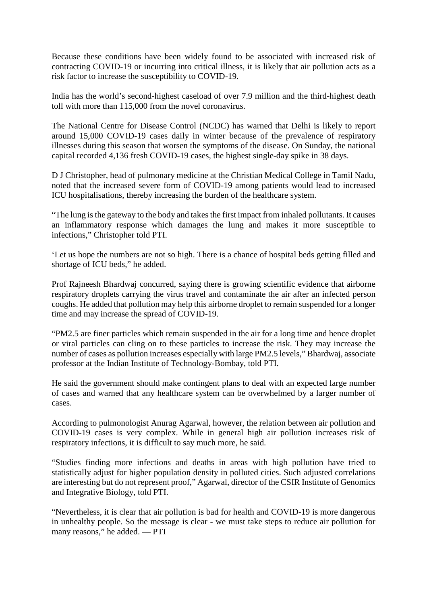Because these conditions have been widely found to be associated with increased risk of contracting COVID-19 or incurring into critical illness, it is likely that air pollution acts as a risk factor to increase the susceptibility to COVID-19.

India has the world's second-highest caseload of over 7.9 million and the third-highest death toll with more than 115,000 from the novel coronavirus.

The National Centre for Disease Control (NCDC) has warned that Delhi is likely to report around 15,000 COVID-19 cases daily in winter because of the prevalence of respiratory illnesses during this season that worsen the symptoms of the disease. On Sunday, the national capital recorded 4,136 fresh COVID-19 cases, the highest single-day spike in 38 days.

D J Christopher, head of pulmonary medicine at the Christian Medical College in Tamil Nadu, noted that the increased severe form of COVID-19 among patients would lead to increased ICU hospitalisations, thereby increasing the burden of the healthcare system.

"The lung is the gateway to the body and takes the first impact from inhaled pollutants. It causes an inflammatory response which damages the lung and makes it more susceptible to infections," Christopher told PTI.

'Let us hope the numbers are not so high. There is a chance of hospital beds getting filled and shortage of ICU beds," he added.

Prof Rajneesh Bhardwaj concurred, saying there is growing scientific evidence that airborne respiratory droplets carrying the virus travel and contaminate the air after an infected person coughs. He added that pollution may help this airborne droplet to remain suspended for a longer time and may increase the spread of COVID-19.

"PM2.5 are finer particles which remain suspended in the air for a long time and hence droplet or viral particles can cling on to these particles to increase the risk. They may increase the number of cases as pollution increases especially with large PM2.5 levels," Bhardwaj, associate professor at the Indian Institute of Technology-Bombay, told PTI.

He said the government should make contingent plans to deal with an expected large number of cases and warned that any healthcare system can be overwhelmed by a larger number of cases.

According to pulmonologist Anurag Agarwal, however, the relation between air pollution and COVID-19 cases is very complex. While in general high air pollution increases risk of respiratory infections, it is difficult to say much more, he said.

"Studies finding more infections and deaths in areas with high pollution have tried to statistically adjust for higher population density in polluted cities. Such adjusted correlations are interesting but do not represent proof," Agarwal, director of the CSIR Institute of Genomics and Integrative Biology, told PTI.

"Nevertheless, it is clear that air pollution is bad for health and COVID-19 is more dangerous in unhealthy people. So the message is clear - we must take steps to reduce air pollution for many reasons," he added. — PTI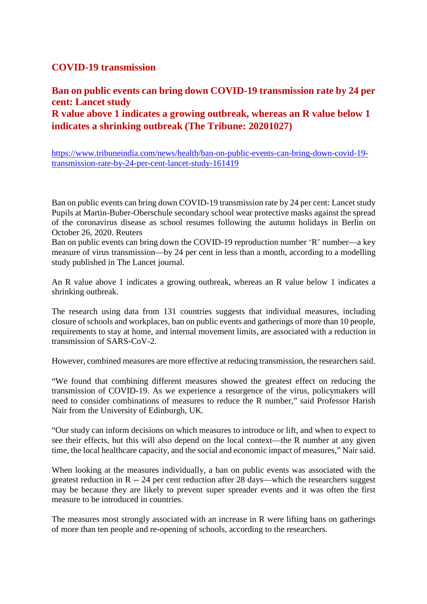#### **COVID-19 transmission**

#### **Ban on public events can bring down COVID-19 transmission rate by 24 per cent: Lancet study R value above 1 indicates a growing outbreak, whereas an R value below 1 indicates a shrinking outbreak (The Tribune: 20201027)**

https://www.tribuneindia.com/news/health/ban-on-public-events-can-bring-down-covid-19 transmission-rate-by-24-per-cent-lancet-study-161419

Ban on public events can bring down COVID-19 transmission rate by 24 per cent: Lancet study Pupils at Martin-Buber-Oberschule secondary school wear protective masks against the spread of the coronavirus disease as school resumes following the autumn holidays in Berlin on October 26, 2020. Reuters

Ban on public events can bring down the COVID-19 reproduction number 'R' number—a key measure of virus transmission—by 24 per cent in less than a month, according to a modelling study published in The Lancet journal.

An R value above 1 indicates a growing outbreak, whereas an R value below 1 indicates a shrinking outbreak.

The research using data from 131 countries suggests that individual measures, including closure of schools and workplaces, ban on public events and gatherings of more than 10 people, requirements to stay at home, and internal movement limits, are associated with a reduction in transmission of SARS-CoV-2.

However, combined measures are more effective at reducing transmission, the researchers said.

"We found that combining different measures showed the greatest effect on reducing the transmission of COVID-19. As we experience a resurgence of the virus, policymakers will need to consider combinations of measures to reduce the R number," said Professor Harish Nair from the University of Edinburgh, UK.

"Our study can inform decisions on which measures to introduce or lift, and when to expect to see their effects, but this will also depend on the local context—the R number at any given time, the local healthcare capacity, and the social and economic impact of measures," Nair said.

When looking at the measures individually, a ban on public events was associated with the greatest reduction in R -- 24 per cent reduction after 28 days—which the researchers suggest may be because they are likely to prevent super spreader events and it was often the first measure to be introduced in countries.

The measures most strongly associated with an increase in R were lifting bans on gatherings of more than ten people and re-opening of schools, according to the researchers.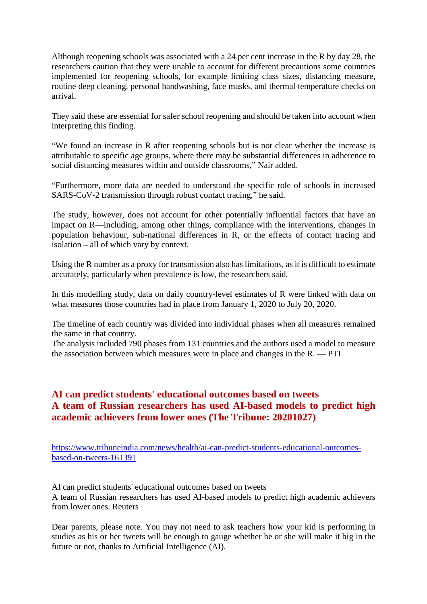Although reopening schools was associated with a 24 per cent increase in the R by day 28, the researchers caution that they were unable to account for different precautions some countries implemented for reopening schools, for example limiting class sizes, distancing measure, routine deep cleaning, personal handwashing, face masks, and thermal temperature checks on arrival.

They said these are essential for safer school reopening and should be taken into account when interpreting this finding.

"We found an increase in R after reopening schools but is not clear whether the increase is attributable to specific age groups, where there may be substantial differences in adherence to social distancing measures within and outside classrooms," Nair added.

"Furthermore, more data are needed to understand the specific role of schools in increased SARS-CoV-2 transmission through robust contact tracing," he said.

The study, however, does not account for other potentially influential factors that have an impact on R—including, among other things, compliance with the interventions, changes in population behaviour, sub-national differences in R, or the effects of contact tracing and isolation – all of which vary by context.

Using the R number as a proxy for transmission also has limitations, as it is difficult to estimate accurately, particularly when prevalence is low, the researchers said.

In this modelling study, data on daily country-level estimates of R were linked with data on what measures those countries had in place from January 1, 2020 to July 20, 2020.

The timeline of each country was divided into individual phases when all measures remained the same in that country.

The analysis included 790 phases from 131 countries and the authors used a model to measure the association between which measures were in place and changes in the R. — PTI

#### **AI can predict students' educational outcomes based on tweets A team of Russian researchers has used AI-based models to predict high academic achievers from lower ones (The Tribune: 20201027)**

https://www.tribuneindia.com/news/health/ai-can-predict-students-educational-outcomesbased-on-tweets-161391

AI can predict students' educational outcomes based on tweets A team of Russian researchers has used AI-based models to predict high academic achievers from lower ones. Reuters

Dear parents, please note. You may not need to ask teachers how your kid is performing in studies as his or her tweets will be enough to gauge whether he or she will make it big in the future or not, thanks to Artificial Intelligence (AI).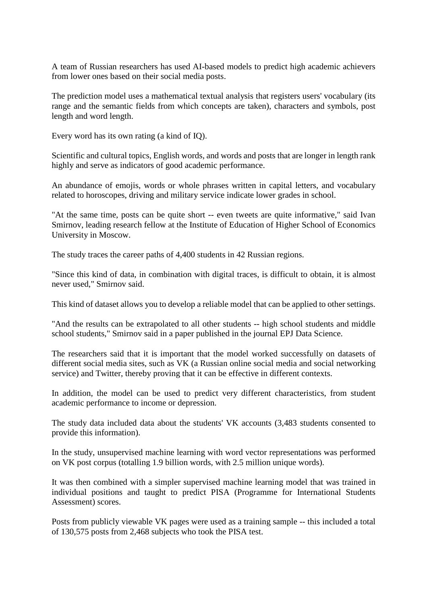A team of Russian researchers has used AI-based models to predict high academic achievers from lower ones based on their social media posts.

The prediction model uses a mathematical textual analysis that registers users' vocabulary (its range and the semantic fields from which concepts are taken), characters and symbols, post length and word length.

Every word has its own rating (a kind of IQ).

Scientific and cultural topics, English words, and words and posts that are longer in length rank highly and serve as indicators of good academic performance.

An abundance of emojis, words or whole phrases written in capital letters, and vocabulary related to horoscopes, driving and military service indicate lower grades in school.

"At the same time, posts can be quite short -- even tweets are quite informative," said Ivan Smirnov, leading research fellow at the Institute of Education of Higher School of Economics University in Moscow.

The study traces the career paths of 4,400 students in 42 Russian regions.

"Since this kind of data, in combination with digital traces, is difficult to obtain, it is almost never used," Smirnov said.

This kind of dataset allows you to develop a reliable model that can be applied to other settings.

"And the results can be extrapolated to all other students -- high school students and middle school students," Smirnov said in a paper published in the journal EPJ Data Science.

The researchers said that it is important that the model worked successfully on datasets of different social media sites, such as VK (a Russian online social media and social networking service) and Twitter, thereby proving that it can be effective in different contexts.

In addition, the model can be used to predict very different characteristics, from student academic performance to income or depression.

The study data included data about the students' VK accounts (3,483 students consented to provide this information).

In the study, unsupervised machine learning with word vector representations was performed on VK post corpus (totalling 1.9 billion words, with 2.5 million unique words).

It was then combined with a simpler supervised machine learning model that was trained in individual positions and taught to predict PISA (Programme for International Students Assessment) scores.

Posts from publicly viewable VK pages were used as a training sample -- this included a total of 130,575 posts from 2,468 subjects who took the PISA test.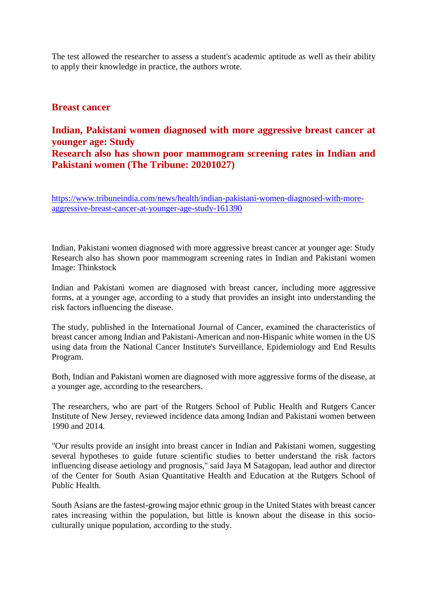The test allowed the researcher to assess a student's academic aptitude as well as their ability to apply their knowledge in practice, the authors wrote.

#### **Breast cancer**

#### **Indian, Pakistani women diagnosed with more aggressive breast cancer at younger age: Study Research also has shown poor mammogram screening rates in Indian and Pakistani women (The Tribune: 20201027)**

https://www.tribuneindia.com/news/health/indian-pakistani-women-diagnosed-with-moreaggressive-breast-cancer-at-younger-age-study-161390

Indian, Pakistani women diagnosed with more aggressive breast cancer at younger age: Study Research also has shown poor mammogram screening rates in Indian and Pakistani women Image: Thinkstock

Indian and Pakistani women are diagnosed with breast cancer, including more aggressive forms, at a younger age, according to a study that provides an insight into understanding the risk factors influencing the disease.

The study, published in the International Journal of Cancer, examined the characteristics of breast cancer among Indian and Pakistani-American and non-Hispanic white women in the US using data from the National Cancer Institute's Surveillance, Epidemiology and End Results Program.

Both, Indian and Pakistani women are diagnosed with more aggressive forms of the disease, at a younger age, according to the researchers.

The researchers, who are part of the Rutgers School of Public Health and Rutgers Cancer Institute of New Jersey, reviewed incidence data among Indian and Pakistani women between 1990 and 2014.

"Our results provide an insight into breast cancer in Indian and Pakistani women, suggesting several hypotheses to guide future scientific studies to better understand the risk factors influencing disease aetiology and prognosis," said Jaya M Satagopan, lead author and director of the Center for South Asian Quantitative Health and Education at the Rutgers School of Public Health.

South Asians are the fastest-growing major ethnic group in the United States with breast cancer rates increasing within the population, but little is known about the disease in this socioculturally unique population, according to the study.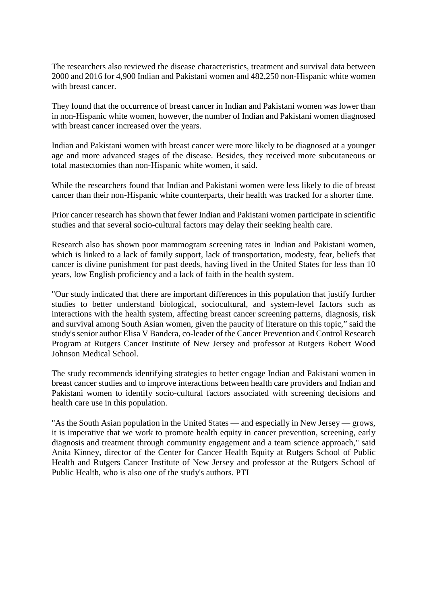The researchers also reviewed the disease characteristics, treatment and survival data between 2000 and 2016 for 4,900 Indian and Pakistani women and 482,250 non-Hispanic white women with breast cancer.

They found that the occurrence of breast cancer in Indian and Pakistani women was lower than in non-Hispanic white women, however, the number of Indian and Pakistani women diagnosed with breast cancer increased over the years.

Indian and Pakistani women with breast cancer were more likely to be diagnosed at a younger age and more advanced stages of the disease. Besides, they received more subcutaneous or total mastectomies than non-Hispanic white women, it said.

While the researchers found that Indian and Pakistani women were less likely to die of breast cancer than their non-Hispanic white counterparts, their health was tracked for a shorter time.

Prior cancer research has shown that fewer Indian and Pakistani women participate in scientific studies and that several socio-cultural factors may delay their seeking health care.

Research also has shown poor mammogram screening rates in Indian and Pakistani women, which is linked to a lack of family support, lack of transportation, modesty, fear, beliefs that cancer is divine punishment for past deeds, having lived in the United States for less than 10 years, low English proficiency and a lack of faith in the health system.

"Our study indicated that there are important differences in this population that justify further studies to better understand biological, sociocultural, and system-level factors such as interactions with the health system, affecting breast cancer screening patterns, diagnosis, risk and survival among South Asian women, given the paucity of literature on this topic," said the study's senior author Elisa V Bandera, co-leader of the Cancer Prevention and Control Research Program at Rutgers Cancer Institute of New Jersey and professor at Rutgers Robert Wood Johnson Medical School.

The study recommends identifying strategies to better engage Indian and Pakistani women in breast cancer studies and to improve interactions between health care providers and Indian and Pakistani women to identify socio-cultural factors associated with screening decisions and health care use in this population.

"As the South Asian population in the United States — and especially in New Jersey — grows, it is imperative that we work to promote health equity in cancer prevention, screening, early diagnosis and treatment through community engagement and a team science approach," said Anita Kinney, director of the Center for Cancer Health Equity at Rutgers School of Public Health and Rutgers Cancer Institute of New Jersey and professor at the Rutgers School of Public Health, who is also one of the study's authors. PTI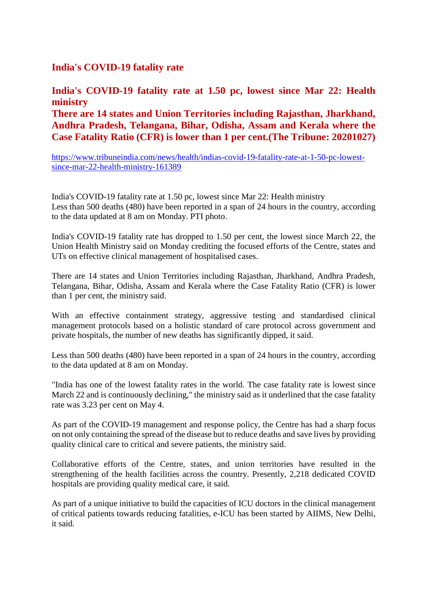#### **India's COVID-19 fatality rate**

**India's COVID-19 fatality rate at 1.50 pc, lowest since Mar 22: Health ministry There are 14 states and Union Territories including Rajasthan, Jharkhand, Andhra Pradesh, Telangana, Bihar, Odisha, Assam and Kerala where the Case Fatality Ratio (CFR) is lower than 1 per cent.(The Tribune: 20201027)**

https://www.tribuneindia.com/news/health/indias-covid-19-fatality-rate-at-1-50-pc-lowestsince-mar-22-health-ministry-161389

India's COVID-19 fatality rate at 1.50 pc, lowest since Mar 22: Health ministry Less than 500 deaths (480) have been reported in a span of 24 hours in the country, according to the data updated at 8 am on Monday. PTI photo.

India's COVID-19 fatality rate has dropped to 1.50 per cent, the lowest since March 22, the Union Health Ministry said on Monday crediting the focused efforts of the Centre, states and UTs on effective clinical management of hospitalised cases.

There are 14 states and Union Territories including Rajasthan, Jharkhand, Andhra Pradesh, Telangana, Bihar, Odisha, Assam and Kerala where the Case Fatality Ratio (CFR) is lower than 1 per cent, the ministry said.

With an effective containment strategy, aggressive testing and standardised clinical management protocols based on a holistic standard of care protocol across government and private hospitals, the number of new deaths has significantly dipped, it said.

Less than 500 deaths (480) have been reported in a span of 24 hours in the country, according to the data updated at 8 am on Monday.

"India has one of the lowest fatality rates in the world. The case fatality rate is lowest since March 22 and is continuously declining," the ministry said as it underlined that the case fatality rate was 3.23 per cent on May 4.

As part of the COVID-19 management and response policy, the Centre has had a sharp focus on not only containing the spread of the disease but to reduce deaths and save lives by providing quality clinical care to critical and severe patients, the ministry said.

Collaborative efforts of the Centre, states, and union territories have resulted in the strengthening of the health facilities across the country. Presently, 2,218 dedicated COVID hospitals are providing quality medical care, it said.

As part of a unique initiative to build the capacities of ICU doctors in the clinical management of critical patients towards reducing fatalities, e-ICU has been started by AIIMS, New Delhi, it said.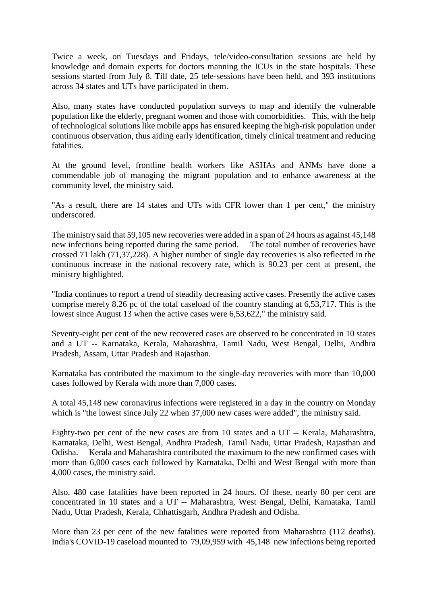Twice a week, on Tuesdays and Fridays, tele/video-consultation sessions are held by knowledge and domain experts for doctors manning the ICUs in the state hospitals. These sessions started from July 8. Till date, 25 tele-sessions have been held, and 393 institutions across 34 states and UTs have participated in them.

Also, many states have conducted population surveys to map and identify the vulnerable population like the elderly, pregnant women and those with comorbidities. This, with the help of technological solutions like mobile apps has ensured keeping the high-risk population under continuous observation, thus aiding early identification, timely clinical treatment and reducing fatalities.

At the ground level, frontline health workers like ASHAs and ANMs have done a commendable job of managing the migrant population and to enhance awareness at the community level, the ministry said.

"As a result, there are 14 states and UTs with CFR lower than 1 per cent," the ministry underscored.

The ministry said that 59,105 new recoveries were added in a span of 24 hours as against 45,148 new infections being reported during the same period. The total number of recoveries have crossed 71 lakh (71,37,228). A higher number of single day recoveries is also reflected in the continuous increase in the national recovery rate, which is 90.23 per cent at present, the ministry highlighted.

"India continues to report a trend of steadily decreasing active cases. Presently the active cases comprise merely 8.26 pc of the total caseload of the country standing at 6,53,717. This is the lowest since August 13 when the active cases were 6,53,622," the ministry said.

Seventy-eight per cent of the new recovered cases are observed to be concentrated in 10 states and a UT -- Karnataka, Kerala, Maharashtra, Tamil Nadu, West Bengal, Delhi, Andhra Pradesh, Assam, Uttar Pradesh and Rajasthan.

Karnataka has contributed the maximum to the single-day recoveries with more than 10,000 cases followed by Kerala with more than 7,000 cases.

A total 45,148 new coronavirus infections were registered in a day in the country on Monday which is "the lowest since July 22 when 37,000 new cases were added", the ministry said.

Eighty-two per cent of the new cases are from 10 states and a UT -- Kerala, Maharashtra, Karnataka, Delhi, West Bengal, Andhra Pradesh, Tamil Nadu, Uttar Pradesh, Rajasthan and Odisha. Kerala and Maharashtra contributed the maximum to the new confirmed cases with more than 6,000 cases each followed by Karnataka, Delhi and West Bengal with more than 4,000 cases, the ministry said.

Also, 480 case fatalities have been reported in 24 hours. Of these, nearly 80 per cent are concentrated in 10 states and a UT -- Maharashtra, West Bengal, Delhi, Karnataka, Tamil Nadu, Uttar Pradesh, Kerala, Chhattisgarh, Andhra Pradesh and Odisha.

More than 23 per cent of the new fatalities were reported from Maharashtra (112 deaths). India's COVID-19 caseload mounted to 79,09,959 with 45,148 new infections being reported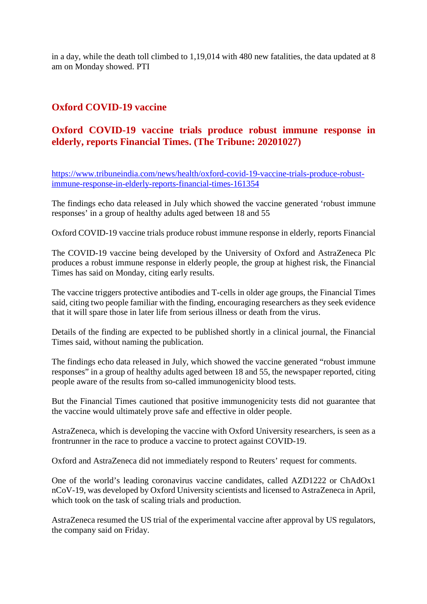in a day, while the death toll climbed to 1,19,014 with 480 new fatalities, the data updated at 8 am on Monday showed. PTI

#### **Oxford COVID-19 vaccine**

#### **Oxford COVID-19 vaccine trials produce robust immune response in elderly, reports Financial Times. (The Tribune: 20201027)**

https://www.tribuneindia.com/news/health/oxford-covid-19-vaccine-trials-produce-robustimmune-response-in-elderly-reports-financial-times-161354

The findings echo data released in July which showed the vaccine generated 'robust immune responses' in a group of healthy adults aged between 18 and 55

Oxford COVID-19 vaccine trials produce robust immune response in elderly, reports Financial

The COVID-19 vaccine being developed by the University of Oxford and AstraZeneca Plc produces a robust immune response in elderly people, the group at highest risk, the Financial Times has said on Monday, citing early results.

The vaccine triggers protective antibodies and T-cells in older age groups, the Financial Times said, citing two people familiar with the finding, encouraging researchers as they seek evidence that it will spare those in later life from serious illness or death from the virus.

Details of the finding are expected to be published shortly in a clinical journal, the Financial Times said, without naming the publication.

The findings echo data released in July, which showed the vaccine generated "robust immune responses" in a group of healthy adults aged between 18 and 55, the newspaper reported, citing people aware of the results from so-called immunogenicity blood tests.

But the Financial Times cautioned that positive immunogenicity tests did not guarantee that the vaccine would ultimately prove safe and effective in older people.

AstraZeneca, which is developing the vaccine with Oxford University researchers, is seen as a frontrunner in the race to produce a vaccine to protect against COVID-19.

Oxford and AstraZeneca did not immediately respond to Reuters' request for comments.

One of the world's leading coronavirus vaccine candidates, called AZD1222 or ChAdOx1 nCoV-19, was developed by Oxford University scientists and licensed to AstraZeneca in April, which took on the task of scaling trials and production.

AstraZeneca resumed the US trial of the experimental vaccine after approval by US regulators, the company said on Friday.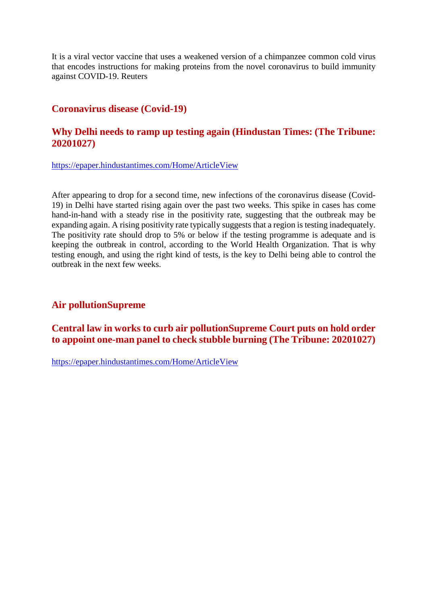It is a viral vector vaccine that uses a weakened version of a chimpanzee common cold virus that encodes instructions for making proteins from the novel coronavirus to build immunity against COVID-19. Reuters

#### **Coronavirus disease (Covid-19)**

#### **Why Delhi needs to ramp up testing again (Hindustan Times: (The Tribune: 20201027)**

https://epaper.hindustantimes.com/Home/ArticleView

After appearing to drop for a second time, new infections of the coronavirus disease (Covid-19) in Delhi have started rising again over the past two weeks. This spike in cases has come hand-in-hand with a steady rise in the positivity rate, suggesting that the outbreak may be expanding again. A rising positivity rate typically suggests that a region is testing inadequately. The positivity rate should drop to 5% or below if the testing programme is adequate and is keeping the outbreak in control, according to the World Health Organization. That is why testing enough, and using the right kind of tests, is the key to Delhi being able to control the outbreak in the next few weeks.

#### **Air pollutionSupreme**

#### **Central law in works to curb air pollutionSupreme Court puts on hold order to appoint one-man panel to check stubble burning (The Tribune: 20201027)**

https://epaper.hindustantimes.com/Home/ArticleView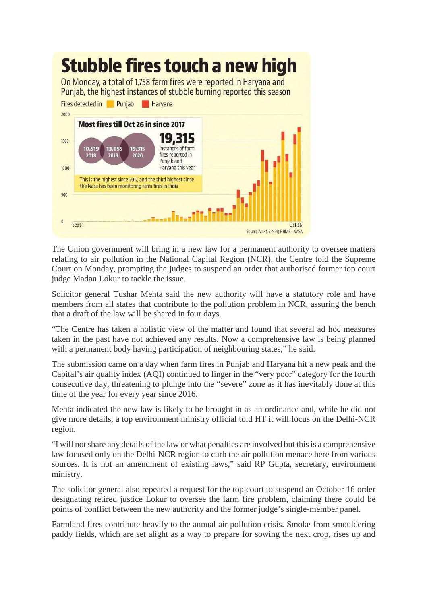

The Union government will bring in a new law for a permanent authority to oversee matters relating to air pollution in the National Capital Region (NCR), the Centre told the Supreme Court on Monday, prompting the judges to suspend an order that authorised former top court judge Madan Lokur to tackle the issue.

Solicitor general Tushar Mehta said the new authority will have a statutory role and have members from all states that contribute to the pollution problem in NCR, assuring the bench that a draft of the law will be shared in four days.

"The Centre has taken a holistic view of the matter and found that several ad hoc measures taken in the past have not achieved any results. Now a comprehensive law is being planned with a permanent body having participation of neighbouring states," he said.

The submission came on a day when farm fires in Punjab and Haryana hit a new peak and the Capital's air quality index (AQI) continued to linger in the "very poor" category for the fourth consecutive day, threatening to plunge into the "severe" zone as it has inevitably done at this time of the year for every year since 2016.

Mehta indicated the new law is likely to be brought in as an ordinance and, while he did not give more details, a top environment ministry official told HT it will focus on the Delhi-NCR region.

"I will not share any details of the law or what penalties are involved but this is a comprehensive law focused only on the Delhi-NCR region to curb the air pollution menace here from various sources. It is not an amendment of existing laws," said RP Gupta, secretary, environment ministry.

The solicitor general also repeated a request for the top court to suspend an October 16 order designating retired justice Lokur to oversee the farm fire problem, claiming there could be points of conflict between the new authority and the former judge's single-member panel.

Farmland fires contribute heavily to the annual air pollution crisis. Smoke from smouldering paddy fields, which are set alight as a way to prepare for sowing the next crop, rises up and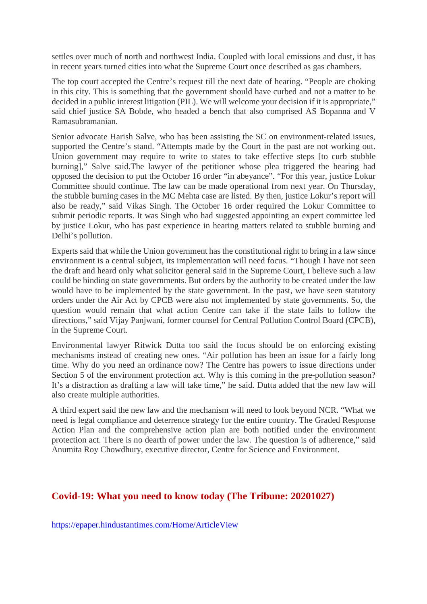settles over much of north and northwest India. Coupled with local emissions and dust, it has in recent years turned cities into what the Supreme Court once described as gas chambers.

The top court accepted the Centre's request till the next date of hearing. "People are choking in this city. This is something that the government should have curbed and not a matter to be decided in a public interest litigation (PIL). We will welcome your decision if it is appropriate," said chief justice SA Bobde, who headed a bench that also comprised AS Bopanna and V Ramasubramanian.

Senior advocate Harish Salve, who has been assisting the SC on environment-related issues, supported the Centre's stand. "Attempts made by the Court in the past are not working out. Union government may require to write to states to take effective steps [to curb stubble] burning]," Salve said.The lawyer of the petitioner whose plea triggered the hearing had opposed the decision to put the October 16 order "in abeyance". "For this year, justice Lokur Committee should continue. The law can be made operational from next year. On Thursday, the stubble burning cases in the MC Mehta case are listed. By then, justice Lokur's report will also be ready," said Vikas Singh. The October 16 order required the Lokur Committee to submit periodic reports. It was Singh who had suggested appointing an expert committee led by justice Lokur, who has past experience in hearing matters related to stubble burning and Delhi's pollution.

Experts said that while the Union government has the constitutional right to bring in a law since environment is a central subject, its implementation will need focus. "Though I have not seen the draft and heard only what solicitor general said in the Supreme Court, I believe such a law could be binding on state governments. But orders by the authority to be created under the law would have to be implemented by the state government. In the past, we have seen statutory orders under the Air Act by CPCB were also not implemented by state governments. So, the question would remain that what action Centre can take if the state fails to follow the directions," said Vijay Panjwani, former counsel for Central Pollution Control Board (CPCB), in the Supreme Court.

Environmental lawyer Ritwick Dutta too said the focus should be on enforcing existing mechanisms instead of creating new ones. "Air pollution has been an issue for a fairly long time. Why do you need an ordinance now? The Centre has powers to issue directions under Section 5 of the environment protection act. Why is this coming in the pre-pollution season? It's a distraction as drafting a law will take time," he said. Dutta added that the new law will also create multiple authorities.

A third expert said the new law and the mechanism will need to look beyond NCR. "What we need is legal compliance and deterrence strategy for the entire country. The Graded Response Action Plan and the comprehensive action plan are both notified under the environment protection act. There is no dearth of power under the law. The question is of adherence," said Anumita Roy Chowdhury, executive director, Centre for Science and Environment.

#### **Covid-19: What you need to know today (The Tribune: 20201027)**

https://epaper.hindustantimes.com/Home/ArticleView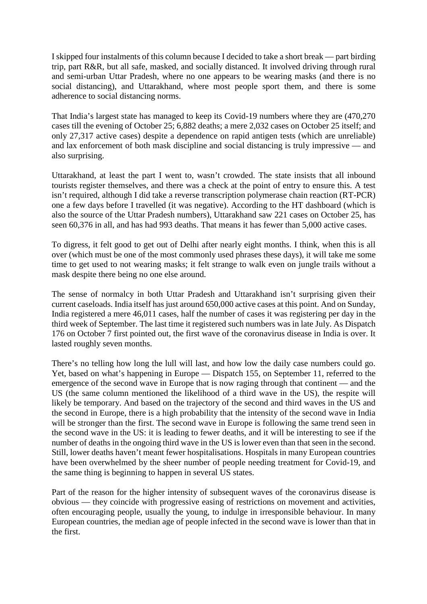I skipped four instalments of this column because I decided to take a short break — part birding trip, part R&R, but all safe, masked, and socially distanced. It involved driving through rural and semi-urban Uttar Pradesh, where no one appears to be wearing masks (and there is no social distancing), and Uttarakhand, where most people sport them, and there is some adherence to social distancing norms.

That India's largest state has managed to keep its Covid-19 numbers where they are (470,270 cases till the evening of October 25; 6,882 deaths; a mere 2,032 cases on October 25 itself; and only 27,317 active cases) despite a dependence on rapid antigen tests (which are unreliable) and lax enforcement of both mask discipline and social distancing is truly impressive — and also surprising.

Uttarakhand, at least the part I went to, wasn't crowded. The state insists that all inbound tourists register themselves, and there was a check at the point of entry to ensure this. A test isn't required, although I did take a reverse transcription polymerase chain reaction (RT-PCR) one a few days before I travelled (it was negative). According to the HT dashboard (which is also the source of the Uttar Pradesh numbers), Uttarakhand saw 221 cases on October 25, has seen 60,376 in all, and has had 993 deaths. That means it has fewer than 5,000 active cases.

To digress, it felt good to get out of Delhi after nearly eight months. I think, when this is all over (which must be one of the most commonly used phrases these days), it will take me some time to get used to not wearing masks; it felt strange to walk even on jungle trails without a mask despite there being no one else around.

The sense of normalcy in both Uttar Pradesh and Uttarakhand isn't surprising given their current caseloads. India itself has just around 650,000 active cases at this point. And on Sunday, India registered a mere 46,011 cases, half the number of cases it was registering per day in the third week of September. The last time it registered such numbers was in late July. As Dispatch 176 on October 7 first pointed out, the first wave of the coronavirus disease in India is over. It lasted roughly seven months.

There's no telling how long the lull will last, and how low the daily case numbers could go. Yet, based on what's happening in Europe — Dispatch 155, on September 11, referred to the emergence of the second wave in Europe that is now raging through that continent — and the US (the same column mentioned the likelihood of a third wave in the US), the respite will likely be temporary. And based on the trajectory of the second and third waves in the US and the second in Europe, there is a high probability that the intensity of the second wave in India will be stronger than the first. The second wave in Europe is following the same trend seen in the second wave in the US: it is leading to fewer deaths, and it will be interesting to see if the number of deaths in the ongoing third wave in the US is lower even than that seen in the second. Still, lower deaths haven't meant fewer hospitalisations. Hospitals in many European countries have been overwhelmed by the sheer number of people needing treatment for Covid-19, and the same thing is beginning to happen in several US states.

Part of the reason for the higher intensity of subsequent waves of the coronavirus disease is obvious — they coincide with progressive easing of restrictions on movement and activities, often encouraging people, usually the young, to indulge in irresponsible behaviour. In many European countries, the median age of people infected in the second wave is lower than that in the first.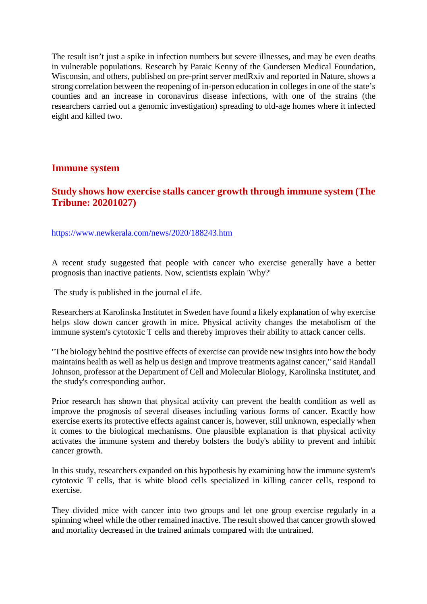The result isn't just a spike in infection numbers but severe illnesses, and may be even deaths in vulnerable populations. Research by Paraic Kenny of the Gundersen Medical Foundation, Wisconsin, and others, published on pre-print server medRxiv and reported in Nature, shows a strong correlation between the reopening of in-person education in colleges in one of the state's counties and an increase in coronavirus disease infections, with one of the strains (the researchers carried out a genomic investigation) spreading to old-age homes where it infected eight and killed two.

#### **Immune system**

#### **Study shows how exercise stalls cancer growth through immune system (The Tribune: 20201027)**

#### https://www.newkerala.com/news/2020/188243.htm

A recent study suggested that people with cancer who exercise generally have a better prognosis than inactive patients. Now, scientists explain 'Why?'

The study is published in the journal eLife.

Researchers at Karolinska Institutet in Sweden have found a likely explanation of why exercise helps slow down cancer growth in mice. Physical activity changes the metabolism of the immune system's cytotoxic T cells and thereby improves their ability to attack cancer cells.

"The biology behind the positive effects of exercise can provide new insights into how the body maintains health as well as help us design and improve treatments against cancer," said Randall Johnson, professor at the Department of Cell and Molecular Biology, Karolinska Institutet, and the study's corresponding author.

Prior research has shown that physical activity can prevent the health condition as well as improve the prognosis of several diseases including various forms of cancer. Exactly how exercise exerts its protective effects against cancer is, however, still unknown, especially when it comes to the biological mechanisms. One plausible explanation is that physical activity activates the immune system and thereby bolsters the body's ability to prevent and inhibit cancer growth.

In this study, researchers expanded on this hypothesis by examining how the immune system's cytotoxic T cells, that is white blood cells specialized in killing cancer cells, respond to exercise.

They divided mice with cancer into two groups and let one group exercise regularly in a spinning wheel while the other remained inactive. The result showed that cancer growth slowed and mortality decreased in the trained animals compared with the untrained.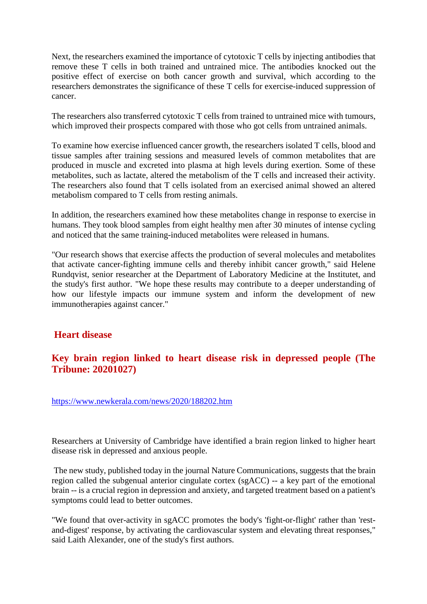Next, the researchers examined the importance of cytotoxic T cells by injecting antibodies that remove these T cells in both trained and untrained mice. The antibodies knocked out the positive effect of exercise on both cancer growth and survival, which according to the researchers demonstrates the significance of these T cells for exercise-induced suppression of cancer.

The researchers also transferred cytotoxic T cells from trained to untrained mice with tumours, which improved their prospects compared with those who got cells from untrained animals.

To examine how exercise influenced cancer growth, the researchers isolated T cells, blood and tissue samples after training sessions and measured levels of common metabolites that are produced in muscle and excreted into plasma at high levels during exertion. Some of these metabolites, such as lactate, altered the metabolism of the T cells and increased their activity. The researchers also found that T cells isolated from an exercised animal showed an altered metabolism compared to T cells from resting animals.

In addition, the researchers examined how these metabolites change in response to exercise in humans. They took blood samples from eight healthy men after 30 minutes of intense cycling and noticed that the same training-induced metabolites were released in humans.

"Our research shows that exercise affects the production of several molecules and metabolites that activate cancer-fighting immune cells and thereby inhibit cancer growth," said Helene Rundqvist, senior researcher at the Department of Laboratory Medicine at the Institutet, and the study's first author. "We hope these results may contribute to a deeper understanding of how our lifestyle impacts our immune system and inform the development of new immunotherapies against cancer."

#### **Heart disease**

#### **Key brain region linked to heart disease risk in depressed people (The Tribune: 20201027)**

https://www.newkerala.com/news/2020/188202.htm

Researchers at University of Cambridge have identified a brain region linked to higher heart disease risk in depressed and anxious people.

The new study, published today in the journal Nature Communications, suggests that the brain region called the subgenual anterior cingulate cortex (sgACC) -- a key part of the emotional brain -- is a crucial region in depression and anxiety, and targeted treatment based on a patient's symptoms could lead to better outcomes.

"We found that over-activity in sgACC promotes the body's 'fight-or-flight' rather than 'restand-digest' response, by activating the cardiovascular system and elevating threat responses," said Laith Alexander, one of the study's first authors.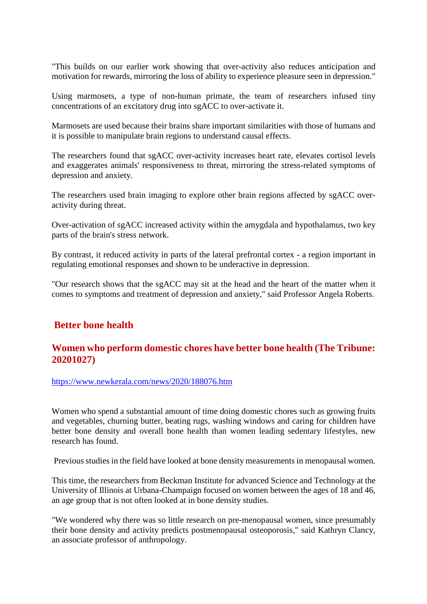"This builds on our earlier work showing that over-activity also reduces anticipation and motivation for rewards, mirroring the loss of ability to experience pleasure seen in depression."

Using marmosets, a type of non-human primate, the team of researchers infused tiny concentrations of an excitatory drug into sgACC to over-activate it.

Marmosets are used because their brains share important similarities with those of humans and it is possible to manipulate brain regions to understand causal effects.

The researchers found that sgACC over-activity increases heart rate, elevates cortisol levels and exaggerates animals' responsiveness to threat, mirroring the stress-related symptoms of depression and anxiety.

The researchers used brain imaging to explore other brain regions affected by sgACC overactivity during threat.

Over-activation of sgACC increased activity within the amygdala and hypothalamus, two key parts of the brain's stress network.

By contrast, it reduced activity in parts of the lateral prefrontal cortex - a region important in regulating emotional responses and shown to be underactive in depression.

"Our research shows that the sgACC may sit at the head and the heart of the matter when it comes to symptoms and treatment of depression and anxiety," said Professor Angela Roberts.

#### **Better bone health**

#### **Women who perform domestic chores have better bone health (The Tribune: 20201027)**

https://www.newkerala.com/news/2020/188076.htm

Women who spend a substantial amount of time doing domestic chores such as growing fruits and vegetables, churning butter, beating rugs, washing windows and caring for children have better bone density and overall bone health than women leading sedentary lifestyles, new research has found.

Previous studies in the field have looked at bone density measurements in menopausal women.

This time, the researchers from Beckman Institute for advanced Science and Technology at the University of Illinois at Urbana-Champaign focused on women between the ages of 18 and 46, an age group that is not often looked at in bone density studies.

"We wondered why there was so little research on pre-menopausal women, since presumably their bone density and activity predicts postmenopausal osteoporosis," said Kathryn Clancy, an associate professor of anthropology.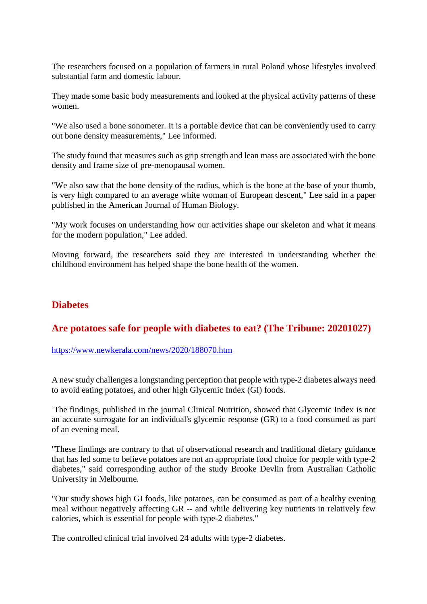The researchers focused on a population of farmers in rural Poland whose lifestyles involved substantial farm and domestic labour.

They made some basic body measurements and looked at the physical activity patterns of these women.

"We also used a bone sonometer. It is a portable device that can be conveniently used to carry out bone density measurements," Lee informed.

The study found that measures such as grip strength and lean mass are associated with the bone density and frame size of pre-menopausal women.

"We also saw that the bone density of the radius, which is the bone at the base of your thumb, is very high compared to an average white woman of European descent," Lee said in a paper published in the American Journal of Human Biology.

"My work focuses on understanding how our activities shape our skeleton and what it means for the modern population," Lee added.

Moving forward, the researchers said they are interested in understanding whether the childhood environment has helped shape the bone health of the women.

#### **Diabetes**

#### **Are potatoes safe for people with diabetes to eat? (The Tribune: 20201027)**

https://www.newkerala.com/news/2020/188070.htm

A new study challenges a longstanding perception that people with type-2 diabetes always need to avoid eating potatoes, and other high Glycemic Index (GI) foods.

The findings, published in the journal Clinical Nutrition, showed that Glycemic Index is not an accurate surrogate for an individual's glycemic response (GR) to a food consumed as part of an evening meal.

"These findings are contrary to that of observational research and traditional dietary guidance that has led some to believe potatoes are not an appropriate food choice for people with type-2 diabetes," said corresponding author of the study Brooke Devlin from Australian Catholic University in Melbourne.

"Our study shows high GI foods, like potatoes, can be consumed as part of a healthy evening meal without negatively affecting GR -- and while delivering key nutrients in relatively few calories, which is essential for people with type-2 diabetes."

The controlled clinical trial involved 24 adults with type-2 diabetes.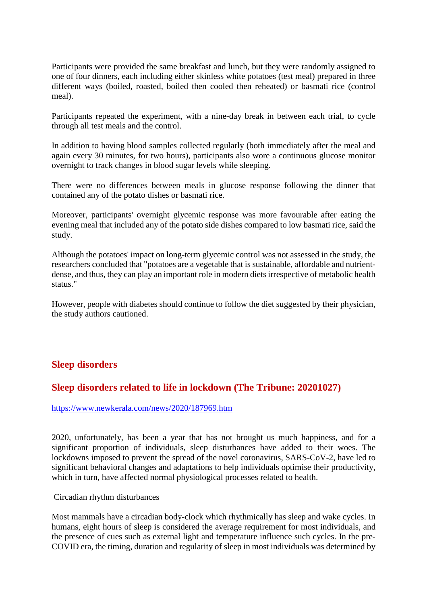Participants were provided the same breakfast and lunch, but they were randomly assigned to one of four dinners, each including either skinless white potatoes (test meal) prepared in three different ways (boiled, roasted, boiled then cooled then reheated) or basmati rice (control meal).

Participants repeated the experiment, with a nine-day break in between each trial, to cycle through all test meals and the control.

In addition to having blood samples collected regularly (both immediately after the meal and again every 30 minutes, for two hours), participants also wore a continuous glucose monitor overnight to track changes in blood sugar levels while sleeping.

There were no differences between meals in glucose response following the dinner that contained any of the potato dishes or basmati rice.

Moreover, participants' overnight glycemic response was more favourable after eating the evening meal that included any of the potato side dishes compared to low basmati rice, said the study.

Although the potatoes' impact on long-term glycemic control was not assessed in the study, the researchers concluded that "potatoes are a vegetable that is sustainable, affordable and nutrientdense, and thus, they can play an important role in modern diets irrespective of metabolic health status."

However, people with diabetes should continue to follow the diet suggested by their physician, the study authors cautioned.

#### **Sleep disorders**

#### **Sleep disorders related to life in lockdown (The Tribune: 20201027)**

#### https://www.newkerala.com/news/2020/187969.htm

2020, unfortunately, has been a year that has not brought us much happiness, and for a significant proportion of individuals, sleep disturbances have added to their woes. The lockdowns imposed to prevent the spread of the novel coronavirus, SARS-CoV-2, have led to significant behavioral changes and adaptations to help individuals optimise their productivity, which in turn, have affected normal physiological processes related to health.

Circadian rhythm disturbances

Most mammals have a circadian body-clock which rhythmically has sleep and wake cycles. In humans, eight hours of sleep is considered the average requirement for most individuals, and the presence of cues such as external light and temperature influence such cycles. In the pre-COVID era, the timing, duration and regularity of sleep in most individuals was determined by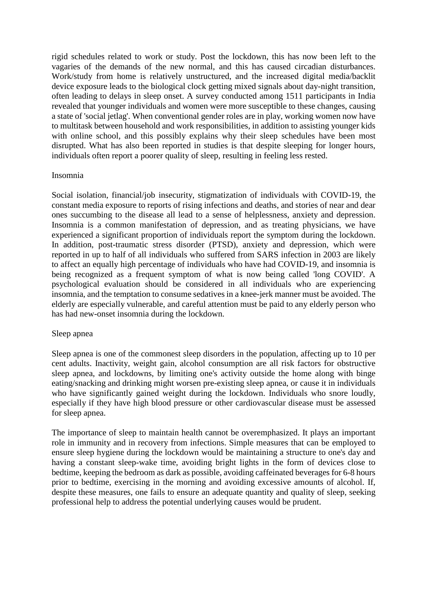rigid schedules related to work or study. Post the lockdown, this has now been left to the vagaries of the demands of the new normal, and this has caused circadian disturbances. Work/study from home is relatively unstructured, and the increased digital media/backlit device exposure leads to the biological clock getting mixed signals about day-night transition, often leading to delays in sleep onset. A survey conducted among 1511 participants in India revealed that younger individuals and women were more susceptible to these changes, causing a state of 'social jetlag'. When conventional gender roles are in play, working women now have to multitask between household and work responsibilities, in addition to assisting younger kids with online school, and this possibly explains why their sleep schedules have been most disrupted. What has also been reported in studies is that despite sleeping for longer hours, individuals often report a poorer quality of sleep, resulting in feeling less rested.

#### Insomnia

Social isolation, financial/job insecurity, stigmatization of individuals with COVID-19, the constant media exposure to reports of rising infections and deaths, and stories of near and dear ones succumbing to the disease all lead to a sense of helplessness, anxiety and depression. Insomnia is a common manifestation of depression, and as treating physicians, we have experienced a significant proportion of individuals report the symptom during the lockdown. In addition, post-traumatic stress disorder (PTSD), anxiety and depression, which were reported in up to half of all individuals who suffered from SARS infection in 2003 are likely to affect an equally high percentage of individuals who have had COVID-19, and insomnia is being recognized as a frequent symptom of what is now being called 'long COVID'. A psychological evaluation should be considered in all individuals who are experiencing insomnia, and the temptation to consume sedatives in a knee-jerk manner must be avoided. The elderly are especially vulnerable, and careful attention must be paid to any elderly person who has had new-onset insomnia during the lockdown.

#### Sleep apnea

Sleep apnea is one of the commonest sleep disorders in the population, affecting up to 10 per cent adults. Inactivity, weight gain, alcohol consumption are all risk factors for obstructive sleep apnea, and lockdowns, by limiting one's activity outside the home along with binge eating/snacking and drinking might worsen pre-existing sleep apnea, or cause it in individuals who have significantly gained weight during the lockdown. Individuals who snore loudly, especially if they have high blood pressure or other cardiovascular disease must be assessed for sleep apnea.

The importance of sleep to maintain health cannot be overemphasized. It plays an important role in immunity and in recovery from infections. Simple measures that can be employed to ensure sleep hygiene during the lockdown would be maintaining a structure to one's day and having a constant sleep-wake time, avoiding bright lights in the form of devices close to bedtime, keeping the bedroom as dark as possible, avoiding caffeinated beverages for 6-8 hours prior to bedtime, exercising in the morning and avoiding excessive amounts of alcohol. If, despite these measures, one fails to ensure an adequate quantity and quality of sleep, seeking professional help to address the potential underlying causes would be prudent.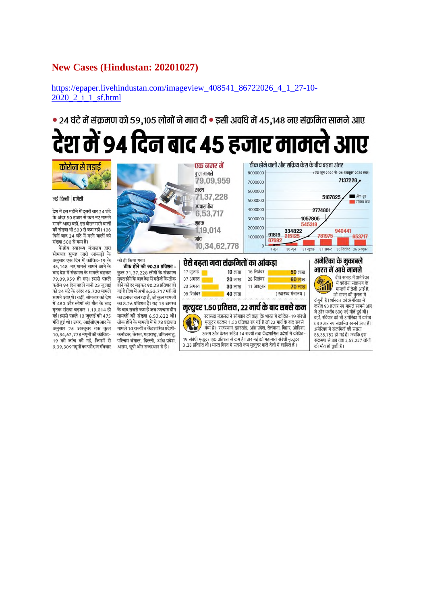#### **New Cases (Hindustan: 20201027)**

https://epaper.livehindustan.com/imageview\_408541\_86722026\_4\_1\_27-10- 2020\_2\_i\_1\_sf.html

• 24 घंटे में संक्रमण को 59,105 लोगों ने मात दी • इसी अवधि में 45,148 नए संक्रमित सामने आए

देश में 94 दिन बाद 45 हजार मामले  $3III$ 



#### नई दिल्ली | एजेंसी

देश में इस महीने में दूसरी बार 24 घंटे के अंदर 50 हजार से कम नए मामले .<br>सामने आए। वहीं, इस दौरान मरने वालों की संख्या भी 500 से कम रही। 108 दिनों बाद 24 घंटे में मरने वालों को संख्या 500 से कम है।

केंद्रीय स्वास्थ्य मंत्रालय द्वारा सोमवार सुबह जारी आंकड़ों के अनुसार एक दिन में कोविड-19 के 45.148 नए मामले सामने आने के .<br>बाद देश में संकमण के मामले बढकर 79.09.959 हो गए। इससे पहले करीब 94 दिन पहले यानी 23 जुलाई को 24 घंटे के अंदर 45,720 मामले सामने आए थे। वहीं, सोमवार को देश में 480 और लोगों की मौत के बाद मृतक संख्या बढ़कर 1,19,014 हो गई। इससे पहले 10 जुलाई को 475 मौतें हुई थीं। उधर, आईसीएमआर के अनुसार 25 अक्तूबर तक कुल 10,34,62,778 नमूनों की कोविड-19 की जांच की गई, जिनमें से 9,39,309 नमूनों का परीक्षण रविवार



मृत्युदर घटकर 1.50 प्रतिशत रह गई है जो 22 मार्च के बाद सबसे

कॅम है। राजस्थान, झारखंड, आंध्र प्रदेश, तेलंगाना, बिहार, ओडिशा,

असम और केरल सहित 14 राज्यों तथा केंद्रशासित प्रदेशों में कोविड-

64 हजार नए संक्रमित सामने आए हैं।

अमेरिका में संक्रमितों की संख्या

की मौत हो चुकी है।

86,35,752 हो गई है। जबकि इस

संक्रमण से अब तक 2,57,227 लोगों

मामलों की संख्या 6,53,622 थी। ठीक होने के मामलों में से 78 प्रतिशत मामले 10 राज्यों व केंद्रशासित प्रदेशों-कर्नाटक, केरल, महाराष्ट्र, तमिलनाडु, 19 संबंधी मृत्युदर एक प्रतिशत से कम है। चार मई को महामारी संबंधी मृत्युदर पश्चिम बंगाल, दिल्ली, आंध्र प्रदेश, 3.23 प्रतिशत थी। भारत विश्व में सबसे कम मृत्युदर वाले देशों में शामिल हैं। असम, यूपी और राजस्थान से हैं।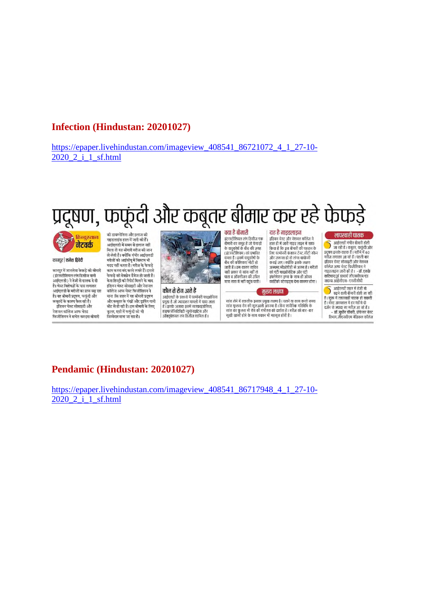#### **Infection (Hindustan: 20201027)**

https://epaper.livehindustan.com/imageview\_408541\_86721072\_4\_1\_27-10- 2020\_2\_i\_1\_sf.html

### प्रदूषण, फफूंदी और कबूतर बीमार कर रहे फेफड़े **यह है गाइडलाइन**<br>इंडियन चेस्ट और नेशनल कॉलेज ने



कानपुर शिमेश द्विवेदी

.<br>कानपुर में जानलेवा फेफड़े की बीमारी ाः दुः<br>(इंटरस्टीशियल लंग डिसीज यानी<br>आईएलडी ) ने तेजी से दस्तक दे दी है। चेस्ट विशेषज्ञों के पास लगातार आईएलडी के मरीजों का ग्राफ बढ रहा है। यह बीमारी प्रदूषण, फफूंदी और कबतरों के कारण फैल रही है। इंडियन चेस्ट सोसाइटी और .<br>नेशनल कॉलेज आफ चेस्ट 

की डायग्नोसिस और इलाज की गाइडलाइंस हाल में जारी की हैं। आईएलडी में ममय से इलाज नहीं -<br>मिला तो यह बीमारी मरीज की जान ले लेती है। क्योंकि गंभीर आर्यक्लादी मरीजों को आईसीयू में सिस्टम भी मदद नहीं करता है। मरीज के फेफरे काम करना बंद करने लगते हैं। इससे ्<br>फेफड़े की मेमब्रेन डैमेज हो जाती है।<br>केस हिस्टी की रिपोर्ट मिलने के बाद इंडियन चेस्ट सोसाइटी और नेशनल कॉलेज आफ चेस्ट फिजीशियन ने माना कि शहर में यह बीमारी प्रदूषण और कबतर के पंखों और डापिंग यानी .<br>बीट से हो रही है। इस बीमारी के लिए



कौन से रोग आते हैं आईएलडी के प्रकारों में पत्योजरी फाडबोसिस जाइरराहा के प्रकाश न बरनानर कार्यालय<br>प्रमुख है जो ज्यादातर मामलों में पाया जाता<br>है। इसके अलावा इसमें सारकाइडोसिस, .<br>हाइपरसेसिटिविटी न्युमोनाइटिस और<br>ऑक्यूपेशनल लंग डिजीज शामिल हैं ।

क्या है बीमारी

इंटरस्टीशियल लंग डिसीज एक उटररहात्म्वरा राग छसान रव<br>बीमारी का समूह है जो फेफड़ों<br>के वायुकोषों के बीच की जगह ( दंटरस्टीशियम) को प्रभावित ( इटरस्टारावन ) का बनावत<br>करता है | इसमें वायुकोषों के<br>बीच की कोशिकाएं मोटी हो जाती हैं । इस कारण व्यक्ति<br>जाती हैं । इस कारण व्यक्ति<br>सही प्रकार से सांस नहीं ले मात्रा रक्त में नहीं पहुंच पाती।

#### मुख्य लक्षण

शब्दन करेंट और नरानरा काराना ना<br>हाल ही में जारी गाइड लाइन में साफ<br>किया है कि इस बीमारी की पहचान के

लिए पत्नोनरी फंक्शन टेस्ट,सीटी स्कैन<br>और जरूरत हो तो लंग्स बायोप्सी<br>कराई जाए। क्योंकि इसके लक्षण

-<br>अस्थमा,सीओपीडी से अलग है । मरीजों<br>को एंटी फाइब्रोरोटिक और एंटी

कार्टिको स्टेराइड्स देना कारगर होगा ।

इंफ्लेमेशन डग्स के साथ ही ओरल

सांस लेने में तकलीफ इसका प्रमुख लक्षण है। चलने या काम करते समय<br>सांस फूलना रोग की शुरुआती अवस्था है। बिना शारीरिक गतिविधि के<br>सांस का फूलना थी रोग की गंभीरता को दर्शाता है। मरीज को बार-बार सखी खासी होने के साथ थकान भी महसस होती है।

#### लापरवाही घातव

.<br>आईएलडी गंभीर बीमारी होती े आईएलडी गंभीर बीमारी होती<br>प्रदूषण इसके वाहक हैं । महीने में 60<br>प्रदूषण इसके वाहक हैं । महीने में 60<br>मरीज लगातार आ रहे हैं । पहली बार नराज समाराह जा रहे हैं। सहसा बार<br>इंडियन चेस्ट सोसाइटी और नेशनल<br>कॉलेज आफ चेस्ट फिजीशियन ने गाददलादंस जारी की है। – डॉ. एसके नाइडलाइस जारा का हा । – बा.रूस्ख<br>**कटियार**,पूर्व प्राचार्य जीएसवीएम एंड<br>सदस्य आईसीएस–एनसीसीपी

→<br>← आईएलडी शहर मैं तेजी से<br>बढ़ने वाली बीमारी होती जा रही है। शुरू में लापरवाही घातक हो सकती<br>है। शुरू में लापरवाही घातक हो सकती ल में पर जन्मता ने इस जाना गया।<br>दर्जन से ज्यादा नए मरीज आ रहे हैं ।<br>– डॉ.खुघीर चौधरी, प्रोफेसर वेस्ट<br>विभाग,जीएसवीएम मेडिकल कॉलेज

#### **Pendamic (Hindustan: 20201027)**

कूलर, एसी में फफूंदी को भी<br>जिम्मेदार माना जा रहा है।

https://epaper.livehindustan.com/imageview\_408541\_86717948\_4\_1\_27-10- 2020\_2\_i\_1\_sf.html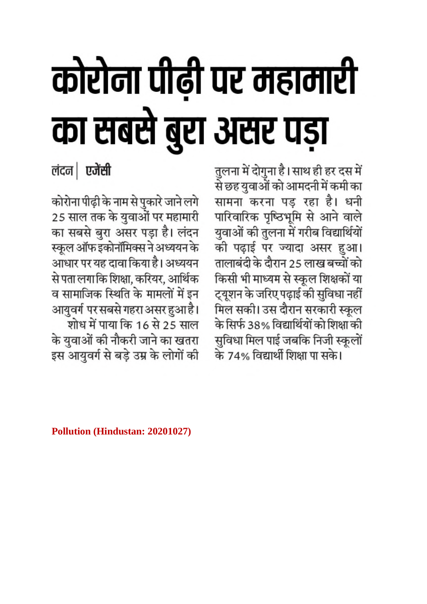# कोरोना पीढ़ी पर महामारी का सबसे बुरा असर पड़ा

तुलना में दोगुना है। साथ ही हर दस में<br>से छह युवाओं को आमदनी में कमी का सामना करना पड़ रहा है। धनी पारिवारिक पृष्ठिभूमि से आने वाले युवाओं की तुलना में गरीब विद्यार्थियों की पढ़ाई पर ज्यादा असर हुआ। तालाबंदी के दौरान 25 लाख बच्चों को किसी भी माध्यम से स्कूल शिक्षकों या ट्यूशन के जरिए पढ़ाई की सुविधा नहीं मिल सकी। उस दौरान सरकारी स्कूल के सिर्फ 38% विद्यार्थियों को शिक्षा की सुविधा मिल पाई जबकि निजी स्कूलों के 74% विद्यार्थी शिक्षा पा सके।

लंदन| एजेंसी

कोरोना पीढ़ी के नाम से पुकारे जाने लगे 25 साल तक के युवाओं पर महामारी का सबसे बुरा असर पड़ा है। लंदन स्कूल ऑफ इकोनॉमिक्स ने अध्ययन के आधार पर यह दावा किया है। अध्ययन से पता लगा कि शिक्षा, करियर, आर्थिक व सामाजिक स्थिति के मामलों में इन आयुवर्ग पर सबसे गहरा असर हुआ है। शोध में पाया कि 16 से 25 साल के युवाओं की नौकरी जाने का खतरा इस आयुवर्ग से बड़े उम्र के लोगों की

**Pollution (Hindustan: 20201027)**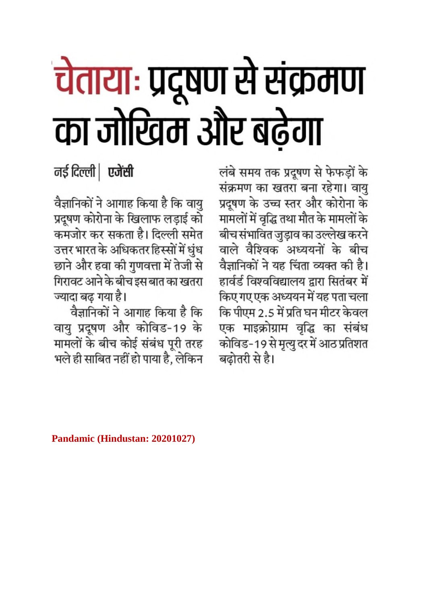## 'चेतायाः प्रदूषण से संक्रमण का जोखिम और बढ़ेगा

नई दिल्ली | एजेंसी

वैज्ञानिकों ने आगाह किया है कि वायु प्रदूषण कोरोना के खिलाफ लड़ाई को कमजोर कर सकता है। दिल्ली समेत उत्तर भारत के अधिकतर हिस्सों में धुंध छाने और हवा की गुणवत्ता में तेजी से गिरावट आने के बीच इस बात का खतरा ज्यादा बढ गया है।

वैज्ञानिकों ने आगाह किया है कि वायु प्रदूषण और कोविड-19 के मामलों के बीच कोई संबंध पूरी तरह भले ही साबित नहीं हो पाया है, लेकिन लंबे समय तक प्रदूषण से फेफड़ों के संक्रमण का खतरा बना रहेगा। वायु प्रदूषण के उच्च स्तर और कोरोना के मामलों में वृद्धि तथा मौत के मामलों के बीच संभावित जुड़ाव का उल्लेख करने वाले वैश्विक अध्ययनों के बीच वैज्ञानिकों ने यह चिंता व्यक्त की है। हार्वर्ड विश्वविद्यालय द्वारा सितंबर में किए गए एक अध्ययन में यह पता चला कि पीएम 2.5 में प्रति घन मीटर केवल एक माइक्रोग्राम वृद्धि का संबंध कोविड-19 से मृत्यु दर में आठ प्रतिशत बढोतरी से है।

**Pandamic (Hindustan: 20201027)**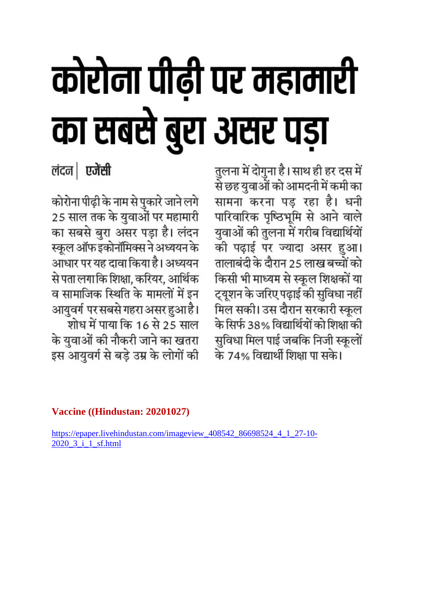# कोरोना पीढ़ी पर महामारी का सबसे बुरा असर पड़ा

तुलना में दोगुना है। साथ ही हर दस में<br>से छह युवाओं को आमदनी में कमी का सामना करना पड़ रहा है। धनी पारिवारिक पृष्ठिभूमि से आने वाले युवाओं की तुलना में गरीब विद्यार्थियों की पढ़ाई पर ज्यादा असर हुआ। तालाबंदी के दौरान 25 लाख बच्चों को किसी भी माध्यम से स्कूल शिक्षकों या ट्यूशन के जरिए पढ़ाई की सुविधा नहीं मिल सकी। उस दौरान सरकारी स्कूल के सिर्फ 38% विद्यार्थियों को शिक्षा की सुविधा मिल पाई जबकि निजी स्कूलों के 74% विद्यार्थी शिक्षा पा सके।

लंदन| एजेंसी

कोरोना पीढ़ी के नाम से पुकारे जाने लगे 25 साल तक के युवाओं पर महामारी का सबसे बुरा असर पड़ा है। लंदन स्कूल ऑफ इकोनॉमिक्स ने अध्ययन के आधार पर यह दावा किया है। अध्ययन से पता लगा कि शिक्षा, करियर, आर्थिक व सामाजिक स्थिति के मामलों में इन आयुवर्ग पर सबसे गहरा असर हुआ है। शोध में पाया कि 16 से 25 साल के युवाओं की नौकरी जाने का खतरा इस आयुवर्ग से बड़े उम्र के लोगों की

**Vaccine ((Hindustan: 20201027)**

https://epaper.livehindustan.com/imageview\_408542\_86698524\_4\_1\_27-10-2020\_3\_i\_1\_sf.html